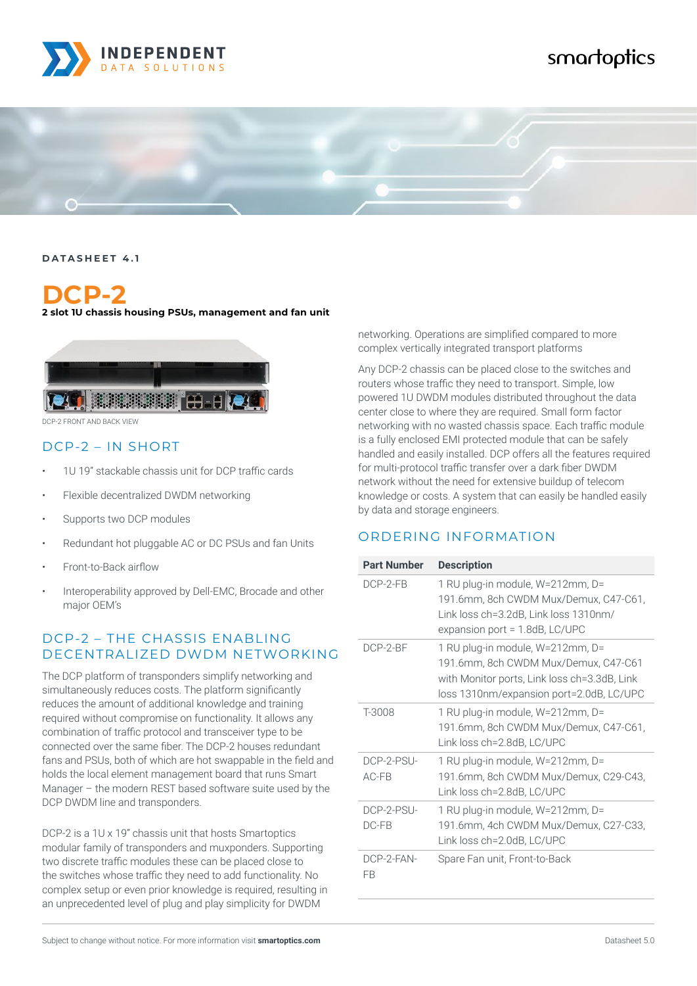

# smartoptics



#### **DATASHEET 4.1**

# **DCP-2**

#### **2 slot 1U chassis housing PSUs, management and fan unit**



DCP-2 FRONT AND BACK VIEW

#### DCP-2 – IN SHORT

- 1U 19" stackable chassis unit for DCP traffic cards
- Flexible decentralized DWDM networking
- Supports two DCP modules
- Redundant hot pluggable AC or DC PSUs and fan Units
- Front-to-Back airflow
- Interoperability approved by Dell-EMC, Brocade and other major OEM's

### DCP-2 – THE CHASSIS ENABLING DECENTRALIZED DWDM NETWORKING

The DCP platform of transponders simplify networking and simultaneously reduces costs. The platform significantly reduces the amount of additional knowledge and training required without compromise on functionality. It allows any combination of traffic protocol and transceiver type to be connected over the same fiber. The DCP-2 houses redundant fans and PSUs, both of which are hot swappable in the field and holds the local element management board that runs Smart Manager – the modern REST based software suite used by the DCP DWDM line and transponders.

DCP-2 is a 1U x 19" chassis unit that hosts Smartoptics modular family of transponders and muxponders. Supporting two discrete traffic modules these can be placed close to the switches whose traffic they need to add functionality. No complex setup or even prior knowledge is required, resulting in an unprecedented level of plug and play simplicity for DWDM

Subject to change without notice. For more information visit **smartoptics.com** Datasheet 5.0

networking. Operations are simplified compared to more complex vertically integrated transport platforms

Any DCP-2 chassis can be placed close to the switches and routers whose traffic they need to transport. Simple, low powered 1U DWDM modules distributed throughout the data center close to where they are required. Small form factor networking with no wasted chassis space. Each traffic module is a fully enclosed EMI protected module that can be safely handled and easily installed. DCP offers all the features required for multi-protocol traffic transfer over a dark fiber DWDM network without the need for extensive buildup of telecom knowledge or costs. A system that can easily be handled easily by data and storage engineers.

### ORDERING INFORMATION

| <b>Part Number</b>    | <b>Description</b>                                                                                                                                                   |  |  |
|-----------------------|----------------------------------------------------------------------------------------------------------------------------------------------------------------------|--|--|
| $DCP-2-FB$            | 1 RU plug-in module, W=212mm, D=<br>191.6mm, 8ch CWDM Mux/Demux, C47-C61,<br>Link loss ch=3.2dB, Link loss 1310nm/<br>expansion port = $1.8dB$ , LC/UPC              |  |  |
| DCP-2-BF              | 1 RU plug-in module, W=212mm, D=<br>191.6mm, 8ch CWDM Mux/Demux, C47-C61<br>with Monitor ports, Link loss ch=3.3dB, Link<br>loss 1310nm/expansion port=2.0dB, LC/UPC |  |  |
| T-3008                | 1 RU plug-in module, W=212mm, D=<br>191.6mm, 8ch CWDM Mux/Demux, C47-C61,<br>Link loss ch=2.8dB, LC/UPC                                                              |  |  |
| DCP-2-PSU-<br>$AC-FB$ | 1 RU plug-in module, W=212mm, D=<br>191.6mm, 8ch CWDM Mux/Demux, C29-C43,<br>Link loss ch=2.8dB, LC/UPC                                                              |  |  |
| DCP-2-PSU-<br>$DC-FB$ | 1 RU plug-in module, W=212mm, D=<br>191.6mm, 4ch CWDM Mux/Demux, C27-C33,<br>Link loss ch=2.0dB, LC/UPC                                                              |  |  |
| DCP-2-FAN-<br>FR      | Spare Fan unit, Front-to-Back                                                                                                                                        |  |  |